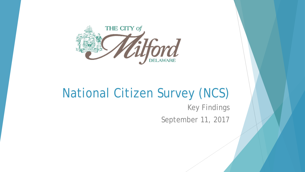

### National Citizen Survey (NCS)

Key Findings September 11, 2017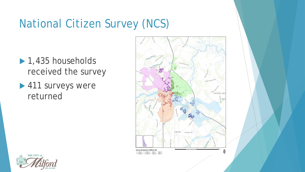## National Citizen Survey (NCS)

- $\blacktriangleright$  1,435 households received the survey
- ▶ 411 surveys were returned



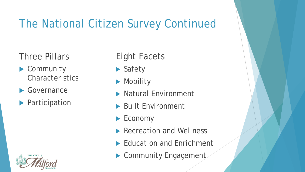# The National Citizen Survey Continued

Three Pillars

- ▶ Community **Characteristics**
- Governance
- **Participation**



#### Eight Facets

- ▶ Safety
- **Mobility**
- Natural Environment
- **Built Environment**
- ▶ Economy
- Recreation and Wellness
- Education and Enrichment
- ▶ Community Engagement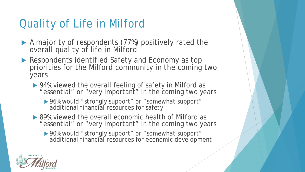# Quality of Life in Milford

- A majority of respondents (77%) positively rated the overall quality of life in Milford
- ▶ Respondents identified Safety and Economy as top priorities for the Milford community in the coming two years
	- ▶ 94% viewed the overall feeling of safety in Milford as "essential" or "very important" in the coming two years
		- ▶ 96% would "strongly support" or "somewhat support" additional financial resources for safety
	- ▶ 89% viewed the overall economic health of Milford as "essential" or "very important" in the coming two years
		- ▶ 90% would "strongly support" or "somewhat support" additional financial resources for economic development

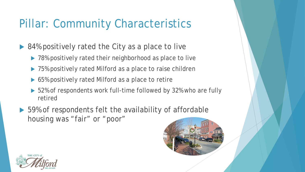# Pillar: Community Characteristics

- 84% positively rated the City as a place to live
	- ▶ 78% positively rated their neighborhood as place to live
	- ▶ 75% positively rated Milford as a place to raise children
	- ▶ 65% positively rated Milford as a place to retire
	- ▶ 52% of respondents work full-time followed by 32% who are fully retired
- ▶ 59% of respondents felt the availability of affordable housing was "fair" or "poor"



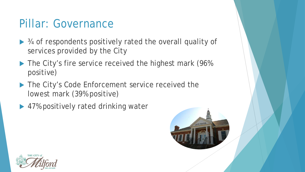#### Pillar: Governance

- ▶ ¾ of respondents positively rated the overall quality of services provided by the City
- The City's fire service received the highest mark (96%) positive)
- The City's Code Enforcement service received the lowest mark (39% positive)
- ▶ 47% positively rated drinking water



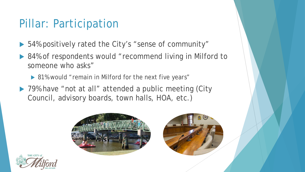#### Pillar: Participation

- 54% positively rated the City's "sense of community"
- ▶ 84% of respondents would "recommend living in Milford to someone who asks"
	- ▶ 81% would "remain in Milford for the next five years"
- ▶ 79% have "not at all" attended a public meeting (City Council, advisory boards, town halls, HOA, etc.)





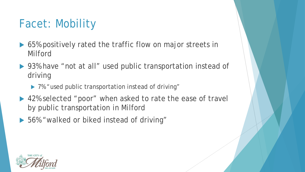# Facet: Mobility

- ▶ 65% positively rated the traffic flow on major streets in Milford
- ▶ 93% have "not at all" used public transportation instead of driving
	- ▶ 7% "used public transportation instead of driving"
- ▶ 42% selected "poor" when asked to rate the ease of travel by public transportation in Milford
- ▶ 56% "walked or biked instead of driving"

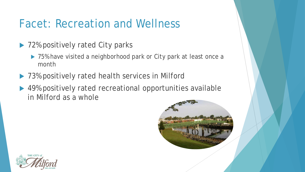### Facet: Recreation and Wellness

- ▶ 72% positively rated City parks
	- ▶ 75% have visited a neighborhood park or City park at least once a month
- ▶ 73% positively rated health services in Milford
- ▶ 49% positively rated recreational opportunities available in Milford as a whole



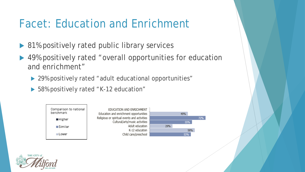## Facet: Education and Enrichment

- 81% positively rated public library services
- ▶ 49% positively rated "overall opportunities for education and enrichment"
	- ▶ 29% positively rated "adult educational opportunities"
	- ▶ 58% positively rated "K-12 education"



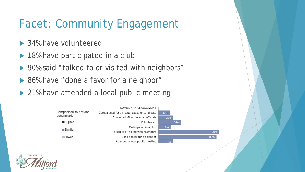# Facet: Community Engagement

- ▶ 34% have volunteered
- ▶ 18% have participated in a club
- ▶ 90% said "talked to or visited with neighbors"
- ▶ 86% have "done a favor for a neighbor"
- ▶ 21% have attended a local public meeting



90% 86%

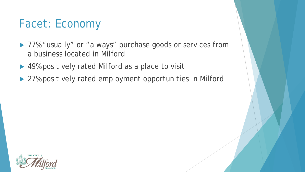#### Facet: Economy

- ▶ 77% "usually" or "always" purchase goods or services from a business located in Milford
- ▶ 49% positively rated Milford as a place to visit
- ▶ 27% positively rated employment opportunities in Milford

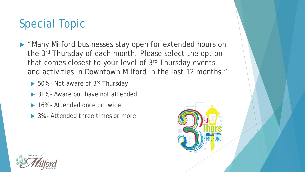# Special Topic

- **Many Milford businesses stay open for extended hours on** the 3rd Thursday of each month. Please select the option that comes closest to your level of 3rd Thursday events and activities in Downtown Milford in the last 12 months."
	- ▶ 50% Not aware of 3<sup>rd</sup> Thursday
	- ▶ 31% Aware but have not attended
	- ▶ 16% Attended once or twice
	- ▶ 3% Attended three times or more



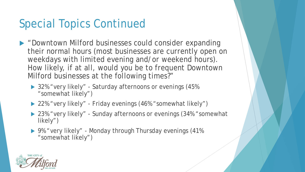## Special Topics Continued

- ▶ "Downtown Milford businesses could consider expanding their normal hours (most businesses are currently open on weekdays with limited evening and/or weekend hours). How likely, if at all, would you be to frequent Downtown Milford businesses at the following times?"
	- ▶ 32% "very likely" Saturday afternoons or evenings (45%) "somewhat likely")
	- ▶ 22% "very likely" Friday evenings (46% "somewhat likely")
	- ▶ 23% "very likely" Sunday afternoons or evenings (34% "somewhat likely")
	- ▶ 9% "very likely" Monday through Thursday evenings (41%) "somewhat likely")